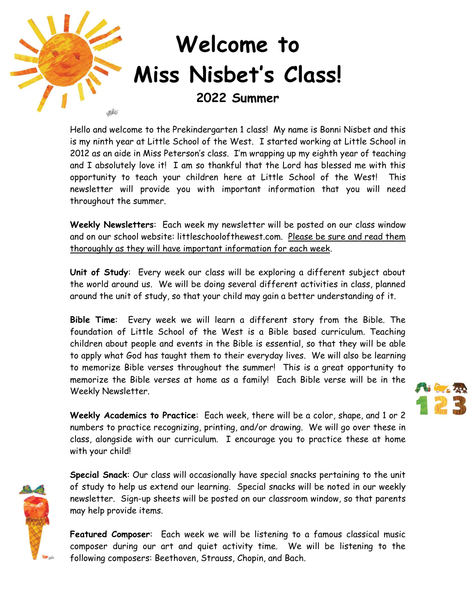

Hello and welcome to the Prekindergarten 1 class! My name is Bonni Nisbet and this is my ninth year at Little School of the West. I started working at Little School in 2012 as an aide in Miss Peterson's class. I'm wrapping up my eighth year of teaching and I absolutely love it! I am so thankful that the Lord has blessed me with this opportunity to teach your children here at Little School of the West! This newsletter will provide you with important information that you will need throughout the summer.

**Weekly Newsletters**: Each week my newsletter will be posted on our class window and on our school website: littleschoolofthewest.com. Please be sure and read them thoroughly as they will have important information for each week.

**Unit of Study**: Every week our class will be exploring a different subject about the world around us. We will be doing several different activities in class, planned around the unit of study, so that your child may gain a better understanding of it.

**Bible Time**: Every week we will learn a different story from the Bible. The foundation of Little School of the West is a Bible based curriculum. Teaching children about people and events in the Bible is essential, so that they will be able to apply what God has taught them to their everyday lives. We will also be learning to memorize Bible verses throughout the summer! This is a great opportunity to memorize the Bible verses at home as a family! Each Bible verse will be in the Weekly Newsletter.

**Weekly Academics to Practice**: Each week, there will be a color, shape, and 1 or 2 numbers to practice recognizing, printing, and/or drawing. We will go over these in class, alongside with our curriculum. I encourage you to practice these at home with your child!



**Special Snack**: Our class will occasionally have special snacks pertaining to the unit of study to help us extend our learning. Special snacks will be noted in our weekly newsletter. Sign-up sheets will be posted on our classroom window, so that parents may help provide items.

**Featured Composer**: Each week we will be listening to a famous classical music composer during our art and quiet activity time. We will be listening to the following composers: Beethoven, Strauss, Chopin, and Bach.